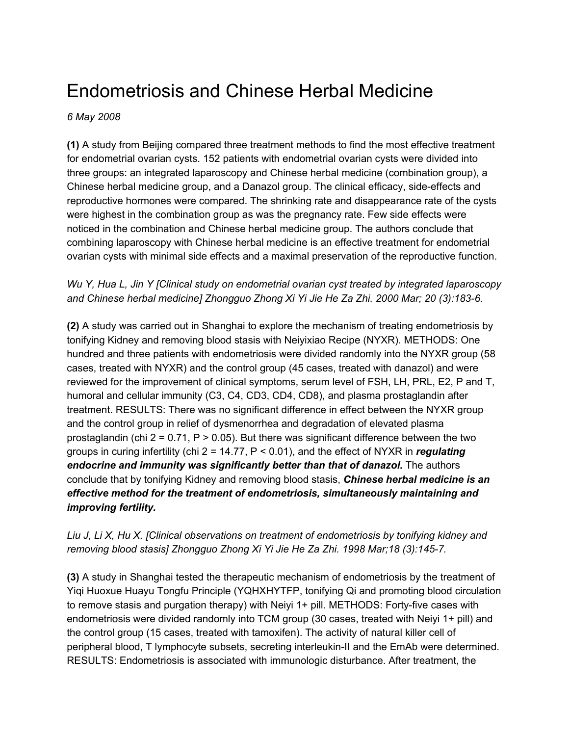# Endometriosis and Chinese Herbal Medicine

#### *6 May 2008*

**(1)** A study from Beijing compared three treatment methods to find the most effective treatment for endometrial ovarian cysts. 152 patients with endometrial ovarian cysts were divided into three groups: an integrated laparoscopy and Chinese herbal medicine (combination group), a Chinese herbal medicine group, and a Danazol group. The clinical efficacy, side-effects and reproductive hormones were compared. The shrinking rate and disappearance rate of the cysts were highest in the combination group as was the pregnancy rate. Few side effects were noticed in the combination and Chinese herbal medicine group. The authors conclude that combining laparoscopy with Chinese herbal medicine is an effective treatment for endometrial ovarian cysts with minimal side effects and a maximal preservation of the reproductive function.

## *Wu Y, Hua L, Jin Y [Clinical study on endometrial ovarian cyst treated by integrated laparoscopy and Chinese herbal medicine] Zhongguo Zhong Xi Yi Jie He Za Zhi. 2000 Mar; 20 (3):183-6.*

**(2)** A study was carried out in Shanghai to explore the mechanism of treating endometriosis by tonifying Kidney and removing blood stasis with Neiyixiao Recipe (NYXR). METHODS: One hundred and three patients with endometriosis were divided randomly into the NYXR group (58 cases, treated with NYXR) and the control group (45 cases, treated with danazol) and were reviewed for the improvement of clinical symptoms, serum level of FSH, LH, PRL, E2, P and T, humoral and cellular immunity (C3, C4, CD3, CD4, CD8), and plasma prostaglandin after treatment. RESULTS: There was no significant difference in effect between the NYXR group and the control group in relief of dysmenorrhea and degradation of elevated plasma prostaglandin (chi  $2 = 0.71$ , P  $> 0.05$ ). But there was significant difference between the two groups in curing infertility (chi 2 = 14.77, P < 0.01), and the effect of NYXR in *regulating endocrine and immunity was significantly better than that of danazol.* The authors conclude that by tonifying Kidney and removing blood stasis, *Chinese herbal medicine is an effective method for the treatment of endometriosis, simultaneously maintaining and improving fertility.*

## *Liu J, Li X, Hu X. [Clinical observations on treatment of endometriosis by tonifying kidney and removing blood stasis] Zhongguo Zhong Xi Yi Jie He Za Zhi. 1998 Mar;18 (3):145-7.*

**(3)** A study in Shanghai tested the therapeutic mechanism of endometriosis by the treatment of Yiqi Huoxue Huayu Tongfu Principle (YQHXHYTFP, tonifying Qi and promoting blood circulation to remove stasis and purgation therapy) with Neiyi 1+ pill. METHODS: Forty-five cases with endometriosis were divided randomly into TCM group (30 cases, treated with Neiyi 1+ pill) and the control group (15 cases, treated with tamoxifen). The activity of natural killer cell of peripheral blood, T lymphocyte subsets, secreting interleukin-II and the EmAb were determined. RESULTS: Endometriosis is associated with immunologic disturbance. After treatment, the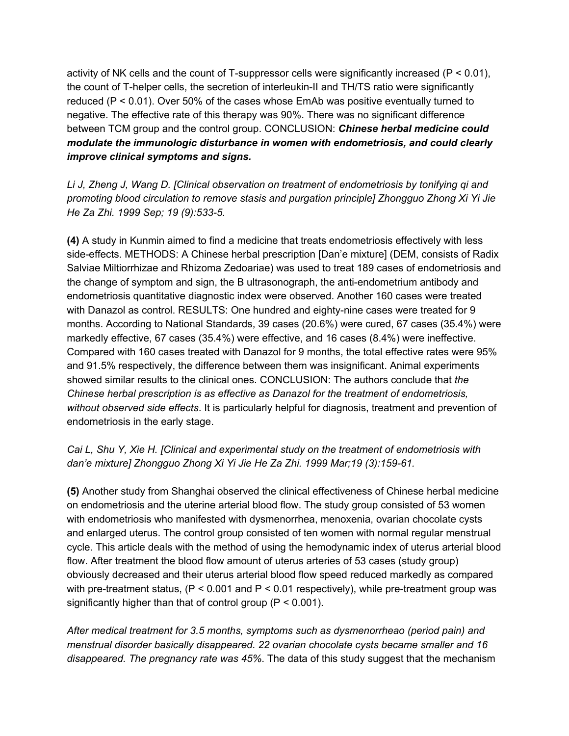activity of NK cells and the count of T-suppressor cells were significantly increased (P < 0.01), the count of T-helper cells, the secretion of interleukin-II and TH/TS ratio were significantly reduced (P < 0.01). Over 50% of the cases whose EmAb was positive eventually turned to negative. The effective rate of this therapy was 90%. There was no significant difference between TCM group and the control group. CONCLUSION: *Chinese herbal medicine could modulate the immunologic disturbance in women with endometriosis, and could clearly improve clinical symptoms and signs.*

*Li J, Zheng J, Wang D. [Clinical observation on treatment of endometriosis by tonifying qi and promoting blood circulation to remove stasis and purgation principle] Zhongguo Zhong Xi Yi Jie He Za Zhi. 1999 Sep; 19 (9):533-5.*

**(4)** A study in Kunmin aimed to find a medicine that treats endometriosis effectively with less side-effects. METHODS: A Chinese herbal prescription [Dan'e mixture] (DEM, consists of Radix Salviae Miltiorrhizae and Rhizoma Zedoariae) was used to treat 189 cases of endometriosis and the change of symptom and sign, the B ultrasonograph, the anti-endometrium antibody and endometriosis quantitative diagnostic index were observed. Another 160 cases were treated with Danazol as control. RESULTS: One hundred and eighty-nine cases were treated for 9 months. According to National Standards, 39 cases (20.6%) were cured, 67 cases (35.4%) were markedly effective, 67 cases (35.4%) were effective, and 16 cases (8.4%) were ineffective. Compared with 160 cases treated with Danazol for 9 months, the total effective rates were 95% and 91.5% respectively, the difference between them was insignificant. Animal experiments showed similar results to the clinical ones. CONCLUSION: The authors conclude that *the Chinese herbal prescription is as effective as Danazol for the treatment of endometriosis, without observed side effects*. It is particularly helpful for diagnosis, treatment and prevention of endometriosis in the early stage.

#### *Cai L, Shu Y, Xie H. [Clinical and experimental study on the treatment of endometriosis with dan'e mixture] Zhongguo Zhong Xi Yi Jie He Za Zhi. 1999 Mar;19 (3):159-61.*

**(5)** Another study from Shanghai observed the clinical effectiveness of Chinese herbal medicine on endometriosis and the uterine arterial blood flow. The study group consisted of 53 women with endometriosis who manifested with dysmenorrhea, menoxenia, ovarian chocolate cysts and enlarged uterus. The control group consisted of ten women with normal regular menstrual cycle. This article deals with the method of using the hemodynamic index of uterus arterial blood flow. After treatment the blood flow amount of uterus arteries of 53 cases (study group) obviously decreased and their uterus arterial blood flow speed reduced markedly as compared with pre-treatment status, ( $P < 0.001$  and  $P < 0.01$  respectively), while pre-treatment group was significantly higher than that of control group (P < 0.001).

*After medical treatment for 3.5 months, symptoms such as dysmenorrheao (period pain) and menstrual disorder basically disappeared. 22 ovarian chocolate cysts became smaller and 16 disappeared. The pregnancy rate was 45%*. The data of this study suggest that the mechanism